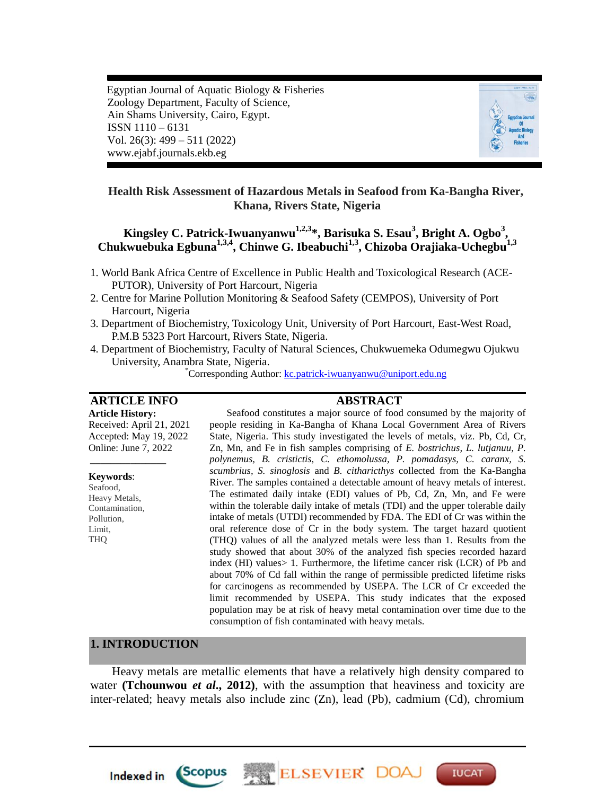Egyptian Journal of Aquatic Biology & Fisheries Zoology Department, Faculty of Science, Ain Shams University, Cairo, Egypt. ISSN 1110 – 6131 Vol. 26(3): 499 – 511 (2022) www.ejabf.journals.ekb.eg



## **Health Risk Assessment of Hazardous Metals in Seafood from Ka-Bangha River, Khana, Rivers State, Nigeria**

# **Kingsley C. Patrick-Iwuanyanwu1,2,3 \*, Barisuka S. Esau<sup>3</sup> , Bright A. Ogbo<sup>3</sup> , Chukwuebuka Egbuna1,3,4 , Chinwe G. Ibeabuchi1,3, Chizoba Orajiaka-Uchegbu1,3**

- 1. World Bank Africa Centre of Excellence in Public Health and Toxicological Research (ACE-PUTOR), University of Port Harcourt, Nigeria
- 2. Centre for Marine Pollution Monitoring & Seafood Safety (CEMPOS), University of Port Harcourt, Nigeria
- 3. Department of Biochemistry, Toxicology Unit, University of Port Harcourt, East-West Road, P.M.B 5323 Port Harcourt, Rivers State, Nigeria.
- 4. Department of Biochemistry, Faculty of Natural Sciences, Chukwuemeka Odumegwu Ojukwu University, Anambra State, Nigeria.

\*Corresponding Author: [kc.patrick-iwuanyanwu@uniport.edu.ng](mailto:kc.patrick-iwuanyanwu@uniport.edu.ng)

## **ARTICLE INFO ABSTRACT**

**Article History:** Received: April 21, 2021 Accepted: May 19, 2022 Online: June 7, 2022

*\_\_\_\_\_\_\_\_\_\_\_\_\_\_\_*

#### **Keywords**:

Seafood, Heavy Metals, Contamination, Pollution, Limit, THQ

Seafood constitutes a major source of food consumed by the majority of people residing in Ka-Bangha of Khana Local Government Area of Rivers State, Nigeria. This study investigated the levels of metals, viz. Pb, Cd, Cr, Zn, Mn, and Fe in fish samples comprising of *E. bostrichus, L. lutjanuu, P. polynemus, B. cristictis, C. ethomolussa, P. pomadasys, C. caranx, S. scumbrius, S. sinoglosis* and *B. citharicthys* collected from the Ka-Bangha River. The samples contained a detectable amount of heavy metals of interest. The estimated daily intake (EDI) values of Pb, Cd, Zn, Mn, and Fe were within the tolerable daily intake of metals (TDI) and the upper tolerable daily intake of metals (UTDI) recommended by FDA. The EDI of Cr was within the oral reference dose of Cr in the body system. The target hazard quotient (THQ) values of all the analyzed metals were less than 1. Results from the study showed that about 30% of the analyzed fish species recorded hazard index (HI) values> 1. Furthermore, the lifetime cancer risk (LCR) of Pb and about 70% of Cd fall within the range of permissible predicted lifetime risks for carcinogens as recommended by USEPA. The LCR of Cr exceeded the limit recommended by USEPA. This study indicates that the exposed population may be at risk of heavy metal contamination over time due to the consumption of fish contaminated with heavy metals.

#### **1. INTRODUCTION**

**Indexed in** 

*Scopus* 

Heavy metals are metallic elements that have a relatively high density compared to water **(Tchounwou** *et al***., 2012)**, with the assumption that heaviness and toxicity are inter-related; heavy metals also include zinc (Zn), lead (Pb), cadmium (Cd), chromium

ELSEVIER DOA

**IUCAT**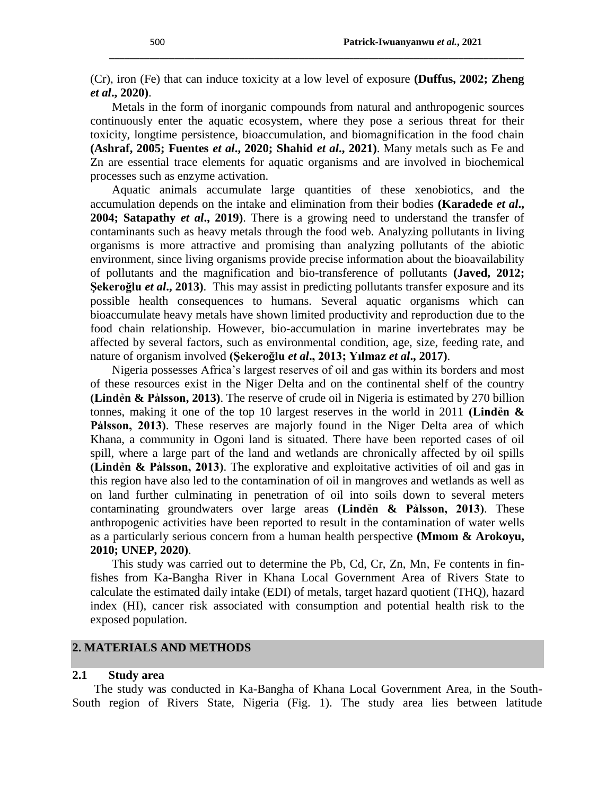(Cr), iron (Fe) that can induce toxicity at a low level of exposure **(Duffus, 2002; Zheng**  *et al***., 2020)**.

\_\_\_\_\_\_\_\_\_\_\_\_\_\_\_\_\_\_\_\_\_\_\_\_\_\_\_\_\_\_\_\_\_\_\_\_\_\_\_\_\_\_\_\_\_\_\_\_\_\_\_\_\_\_\_\_\_\_\_\_\_\_\_\_\_\_\_\_\_\_\_\_\_\_\_\_\_\_\_\_\_\_\_

Metals in the form of inorganic compounds from natural and anthropogenic sources continuously enter the aquatic ecosystem, where they pose a serious threat for their toxicity, longtime persistence, bioaccumulation, and biomagnification in the food chain **(Ashraf, 2005; Fuentes** *et al***., 2020; Shahid** *et al***., 2021)**. Many metals such as Fe and Zn are essential trace elements for aquatic organisms and are involved in biochemical processes such as enzyme activation.

Aquatic animals accumulate large quantities of these xenobiotics, and the accumulation depends on the intake and elimination from their bodies **(Karadede** *et al***., 2004; Satapathy** *et al***., 2019)**. There is a growing need to understand the transfer of contaminants such as heavy metals through the food web. Analyzing pollutants in living organisms is more attractive and promising than analyzing pollutants of the abiotic environment, since living organisms provide precise information about the bioavailability of pollutants and the magnification and bio-transference of pollutants **(Javed, 2012; Şekeroğlu** *et al***., 2013)**. This may assist in predicting pollutants transfer exposure and its possible health consequences to humans. Several aquatic organisms which can bioaccumulate heavy metals have shown limited productivity and reproduction due to the food chain relationship. However, bio-accumulation in marine invertebrates may be affected by several factors, such as environmental condition, age, size, feeding rate, and nature of organism involved **(Şekeroğlu** *et al***., 2013; Yılmaz** *et al***., 2017)**.

Nigeria possesses Africa's largest reserves of oil and gas within its borders and most of these resources exist in the Niger Delta and on the continental shelf of the country **(Lindén & Pálsson, 2013)**. The reserve of crude oil in Nigeria is estimated by 270 billion tonnes, making it one of the top 10 largest reserves in the world in 2011 **(Lindẻn &** Palsson, 2013). These reserves are majorly found in the Niger Delta area of which Khana, a community in Ogoni land is situated. There have been reported cases of oil spill, where a large part of the land and wetlands are chronically affected by oil spills **(Lindẻn & Pẚlsson, 2013)**. The explorative and exploitative activities of oil and gas in this region have also led to the contamination of oil in mangroves and wetlands as well as on land further culminating in penetration of oil into soils down to several meters contaminating groundwaters over large areas **(Linden & Palsson, 2013)**. These anthropogenic activities have been reported to result in the contamination of water wells as a particularly serious concern from a human health perspective **(Mmom & Arokoyu, 2010; UNEP, 2020)**.

This study was carried out to determine the Pb, Cd, Cr, Zn, Mn, Fe contents in finfishes from Ka-Bangha River in Khana Local Government Area of Rivers State to calculate the estimated daily intake (EDI) of metals, target hazard quotient (THQ), hazard index (HI), cancer risk associated with consumption and potential health risk to the exposed population.

## **2. MATERIALS AND METHODS**

#### **2.1 Study area**

The study was conducted in Ka-Bangha of Khana Local Government Area, in the South-South region of Rivers State, Nigeria (Fig. 1). The study area lies between latitude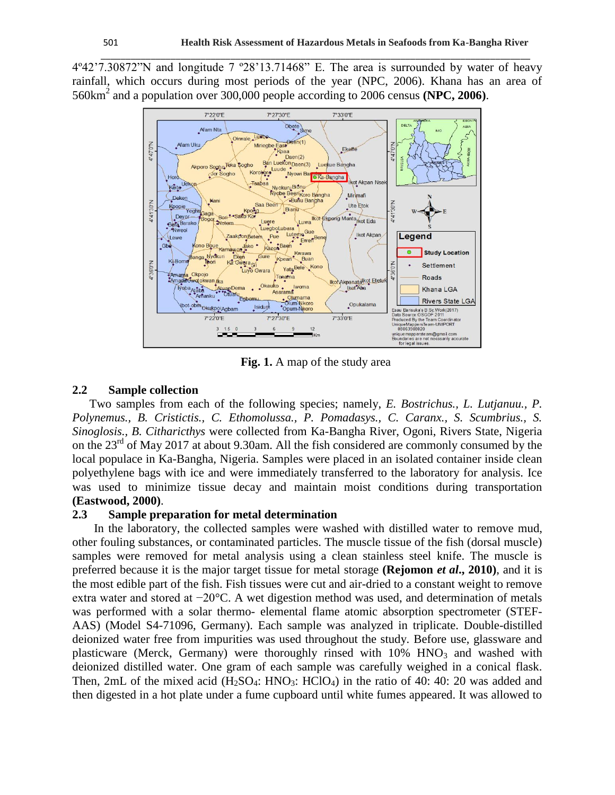4º42'7.30872"N and longitude 7 º28'13.71468" E. The area is surrounded by water of heavy rainfall, which occurs during most periods of the year (NPC, 2006). Khana has an area of 560km<sup>2</sup> and a population over 300,000 people according to 2006 census **(NPC, 2006)**.

\_\_\_\_\_\_\_\_\_\_\_\_\_\_\_\_\_\_\_\_\_\_\_\_\_\_\_\_\_\_\_\_\_\_\_\_\_\_\_\_\_\_\_\_\_\_\_\_\_\_\_\_\_\_\_\_\_\_\_\_\_\_\_\_\_\_\_\_\_\_\_\_\_\_\_\_\_\_\_\_\_\_\_\_\_\_



**Fig. 1.** A map of the study area

#### **2.2 Sample collection**

Two samples from each of the following species; namely, *E. Bostrichus., L. Lutjanuu., P. Polynemus., B. Cristictis., C. Ethomolussa., P. Pomadasys., C. Caranx., S. Scumbrius., S. Sinoglosis., B. Citharicthys* were collected from Ka-Bangha River, Ogoni, Rivers State, Nigeria on the 23<sup>rd</sup> of May 2017 at about 9.30am. All the fish considered are commonly consumed by the local populace in Ka-Bangha, Nigeria. Samples were placed in an isolated container inside clean polyethylene bags with ice and were immediately transferred to the laboratory for analysis. Ice was used to minimize tissue decay and maintain moist conditions during transportation **(Eastwood, 2000)**.

#### **2.3 Sample preparation for metal determination**

In the laboratory, the collected samples were washed with distilled water to remove mud, other fouling substances, or contaminated particles. The muscle tissue of the fish (dorsal muscle) samples were removed for metal analysis using a clean stainless steel knife. The muscle is preferred because it is the major target tissue for metal storage **(Rejomon** *et al***., 2010)**, and it is the most edible part of the fish. Fish tissues were cut and air-dried to a constant weight to remove extra water and stored at −20°C. A wet digestion method was used, and determination of metals was performed with a solar thermo- elemental flame atomic absorption spectrometer (STEF-AAS) (Model S4-71096, Germany). Each sample was analyzed in triplicate. Double-distilled deionized water free from impurities was used throughout the study. Before use, glassware and plasticware (Merck, Germany) were thoroughly rinsed with  $10\%$  HNO<sub>3</sub> and washed with deionized distilled water. One gram of each sample was carefully weighed in a conical flask. Then, 2mL of the mixed acid  $(H_2SO_4: HNO_3: HClO_4)$  in the ratio of 40: 40: 20 was added and then digested in a hot plate under a fume cupboard until white fumes appeared. It was allowed to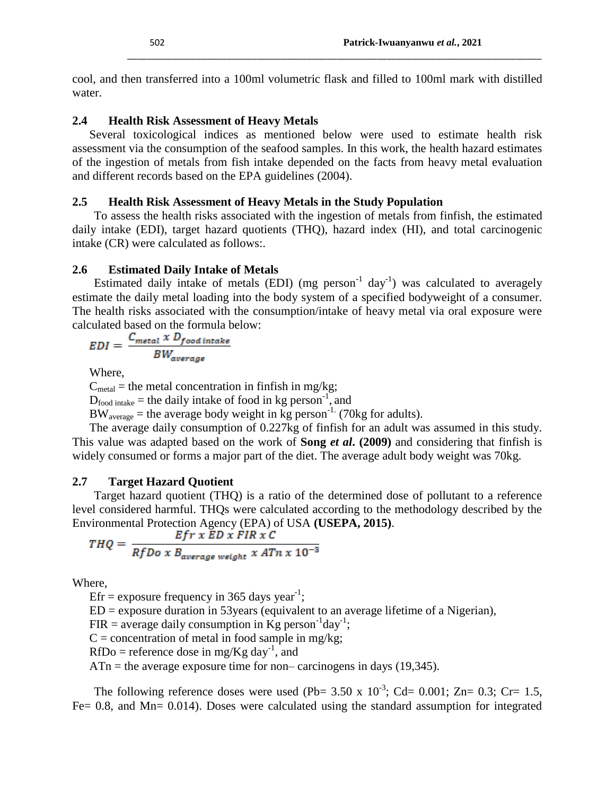cool, and then transferred into a 100ml volumetric flask and filled to 100ml mark with distilled water.

\_\_\_\_\_\_\_\_\_\_\_\_\_\_\_\_\_\_\_\_\_\_\_\_\_\_\_\_\_\_\_\_\_\_\_\_\_\_\_\_\_\_\_\_\_\_\_\_\_\_\_\_\_\_\_\_\_\_\_\_\_\_\_\_\_\_\_\_\_\_\_\_\_\_\_\_\_\_\_\_\_\_\_

## **2.4 Health Risk Assessment of Heavy Metals**

Several toxicological indices as mentioned below were used to estimate health risk assessment via the consumption of the seafood samples. In this work, the health hazard estimates of the ingestion of metals from fish intake depended on the facts from heavy metal evaluation and different records based on the EPA guidelines (2004).

## **2.5 Health Risk Assessment of Heavy Metals in the Study Population**

To assess the health risks associated with the ingestion of metals from finfish, the estimated daily intake (EDI), target hazard quotients (THQ), hazard index (HI), and total carcinogenic intake (CR) were calculated as follows:.

## **2.6 Estimated Daily Intake of Metals**

Estimated daily intake of metals (EDI) (mg person<sup>-1</sup> day<sup>-1</sup>) was calculated to averagely estimate the daily metal loading into the body system of a specified bodyweight of a consumer. The health risks associated with the consumption/intake of heavy metal via oral exposure were calculated based on the formula below:

$$
EDI = \frac{C_{metal} \times D_{food\ intake}}{BW_{average}}
$$

Where,

 $C_{\text{metal}}$  = the metal concentration in finfish in mg/kg;

 $D_{\text{food intake}}$  = the daily intake of food in kg person<sup>-1</sup>, and

 $BW_{\text{average}}$  = the average body weight in kg person<sup>-1</sup>. (70kg for adults).

The average daily consumption of 0.227kg of finfish for an adult was assumed in this study. This value was adapted based on the work of **Song** *et al***. (2009)** and considering that finfish is widely consumed or forms a major part of the diet. The average adult body weight was 70kg.

## **2.7 Target Hazard Quotient**

Target hazard quotient (THQ) is a ratio of the determined dose of pollutant to a reference level considered harmful. THQs were calculated according to the methodology described by the Environmental Protection Agency (EPA) of USA **(USEPA, 2015)**.

$$
THQ = \frac{Efr \times ED \times FIR \times C}{RfDo \times B_{average\ weight} \times A T n \times 10^{-3}}
$$

Where,

Efr = exposure frequency in 365 days year<sup>-1</sup>;

 $ED =$  exposure duration in 53 years (equivalent to an average lifetime of a Nigerian),

FIR = average daily consumption in  $\text{Kg}$  person<sup>-1</sup>day<sup>-1</sup>;

 $C =$  concentration of metal in food sample in mg/kg;

 $RfDo =$  reference dose in mg/Kg day<sup>-1</sup>, and

 $ATn =$  the average exposure time for non– carcinogens in days (19,345).

The following reference doses were used (Pb= 3.50 x  $10^{-3}$ ; Cd= 0.001; Zn= 0.3; Cr= 1.5, Fe= 0.8, and Mn= 0.014). Doses were calculated using the standard assumption for integrated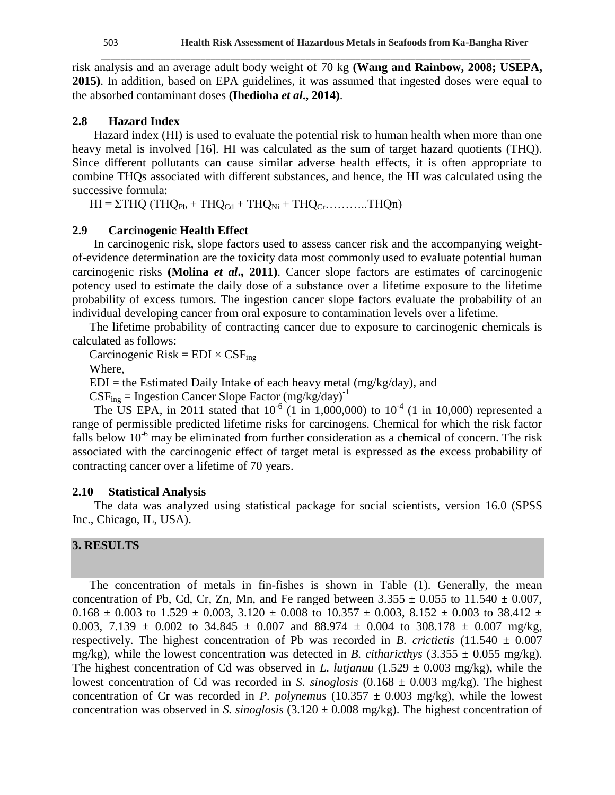risk analysis and an average adult body weight of 70 kg **(Wang and Rainbow, 2008; USEPA, 2015)**. In addition, based on EPA guidelines, it was assumed that ingested doses were equal to the absorbed contaminant doses **(Ihedioha** *et al***., 2014)**.

\_\_\_\_\_\_\_\_\_\_\_\_\_\_\_\_\_\_\_\_\_\_\_\_\_\_\_\_\_\_\_\_\_\_\_\_\_\_\_\_\_\_\_\_\_\_\_\_\_\_\_\_\_\_\_\_\_\_\_\_\_\_\_\_\_\_\_\_\_\_\_\_\_\_\_\_\_\_\_\_\_\_\_\_\_\_

#### **2.8 Hazard Index**

Hazard index (HI) is used to evaluate the potential risk to human health when more than one heavy metal is involved [16]. HI was calculated as the sum of target hazard quotients (THQ). Since different pollutants can cause similar adverse health effects, it is often appropriate to combine THQs associated with different substances, and hence, the HI was calculated using the successive formula:

 $HI = \Sigma THQ$  (THQ<sub>Pb</sub> + THQ<sub>Cd</sub> + THQ<sub>Ni</sub> + THQ<sub>Cr</sub>…………THQn)

#### **2.9 Carcinogenic Health Effect**

In carcinogenic risk, slope factors used to assess cancer risk and the accompanying weightof-evidence determination are the toxicity data most commonly used to evaluate potential human carcinogenic risks **(Molina** *et al***., 2011)**. Cancer slope factors are estimates of carcinogenic potency used to estimate the daily dose of a substance over a lifetime exposure to the lifetime probability of excess tumors. The ingestion cancer slope factors evaluate the probability of an individual developing cancer from oral exposure to contamination levels over a lifetime.

The lifetime probability of contracting cancer due to exposure to carcinogenic chemicals is calculated as follows:

Carcinogenic Risk =  $EDI \times CSF_{ing}$ 

Where,

 $EDI =$  the Estimated Daily Intake of each heavy metal (mg/kg/day), and

 $CSF_{ing}$  = Ingestion Cancer Slope Factor (mg/kg/day)<sup>-1</sup>

The US EPA, in 2011 stated that  $10^{-6}$  (1 in 1,000,000) to  $10^{-4}$  (1 in 10,000) represented a range of permissible predicted lifetime risks for carcinogens. Chemical for which the risk factor falls below  $10^{-6}$  may be eliminated from further consideration as a chemical of concern. The risk associated with the carcinogenic effect of target metal is expressed as the excess probability of contracting cancer over a lifetime of 70 years.

#### **2.10 Statistical Analysis**

The data was analyzed using statistical package for social scientists, version 16.0 (SPSS Inc., Chicago, IL, USA).

## **3. RESULTS**

The concentration of metals in fin-fishes is shown in Table (1). Generally, the mean concentration of Pb, Cd, Cr, Zn, Mn, and Fe ranged between  $3.355 \pm 0.055$  to  $11.540 \pm 0.007$ ,  $0.168 \pm 0.003$  to  $1.529 \pm 0.003$ ,  $3.120 \pm 0.008$  to  $10.357 \pm 0.003$ ,  $8.152 \pm 0.003$  to  $38.412 \pm 0.003$ 0.003, 7.139  $\pm$  0.002 to 34.845  $\pm$  0.007 and 88.974  $\pm$  0.004 to 308.178  $\pm$  0.007 mg/kg, respectively. The highest concentration of Pb was recorded in *B. crictictis*  $(11.540 \pm 0.007$ mg/kg), while the lowest concentration was detected in *B. citharicthys*  $(3.355 \pm 0.055 \text{ mg/kg})$ . The highest concentration of Cd was observed in *L. lutjanuu*  $(1.529 \pm 0.003 \text{ mg/kg})$ , while the lowest concentration of Cd was recorded in *S. sinoglosis* (0.168 ± 0.003 mg/kg). The highest concentration of Cr was recorded in *P. polynemus* (10.357  $\pm$  0.003 mg/kg), while the lowest concentration was observed in *S. sinoglosis* (3.120 ± 0.008 mg/kg). The highest concentration of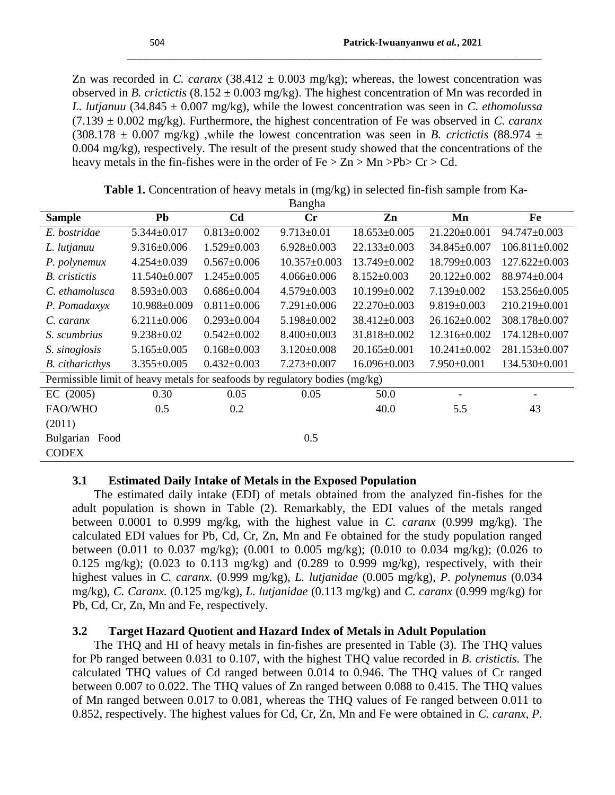Zn was recorded in *C. caranx*  $(38.412 \pm 0.003 \text{ mg/kg})$ ; whereas, the lowest concentration was observed in *B. crictictis* (8.152  $\pm$  0.003 mg/kg). The highest concentration of Mn was recorded in *L. lutjanuu* (34.845 ± 0.007 mg/kg), while the lowest concentration was seen in *C. ethomolussa*  (7.139 ± 0.002 mg/kg). Furthermore, the highest concentration of Fe was observed in *C. caranx*   $(308.178 \pm 0.007 \text{ mg/kg})$ , while the lowest concentration was seen in *B. crictictis* (88.974  $\pm$ 0.004 mg/kg), respectively. The result of the present study showed that the concentrations of the heavy metals in the fin-fishes were in the order of  $Fe > Zn > Mn > Pb > Cr > Cd$ .

\_\_\_\_\_\_\_\_\_\_\_\_\_\_\_\_\_\_\_\_\_\_\_\_\_\_\_\_\_\_\_\_\_\_\_\_\_\_\_\_\_\_\_\_\_\_\_\_\_\_\_\_\_\_\_\_\_\_\_\_\_\_\_\_\_\_\_\_\_\_\_\_\_\_\_\_\_\_\_\_\_\_\_

| <b>Sample</b>                                                               | Pb                | C <sub>d</sub>    | Cr                 | Zn                 | Mn                 | Fe                       |
|-----------------------------------------------------------------------------|-------------------|-------------------|--------------------|--------------------|--------------------|--------------------------|
| E. bostridae                                                                | $5.344 \pm 0.017$ | $0.813 \pm 0.002$ | $9.713 \pm 0.01$   | $18.653 \pm 0.005$ | 21.220±0.001       | 94.747±0.003             |
| L. lutjanuu                                                                 | $9.316 \pm 0.006$ | $1.529 \pm 0.003$ | $6.928 \pm 0.003$  | $22.133 \pm 0.003$ | 34.845±0.007       | $106.811 \pm 0.002$      |
| P. polynemux                                                                | $4.254 \pm 0.039$ | $0.567 \pm 0.006$ | $10.357 \pm 0.003$ | $13.749 \pm 0.002$ | 18.799±0.003       | $127.622 \pm 0.003$      |
| <b>B.</b> cristictis                                                        | 11.540±0.007      | $1.245 \pm 0.005$ | $4.066 \pm 0.006$  | $8.152 \pm 0.003$  | $20.122 \pm 0.002$ | 88.974±0.004             |
| C. ethamolusca                                                              | $8.593 \pm 0.003$ | $0.686 \pm 0.004$ | $4.579 \pm 0.003$  | $10.199 \pm 0.002$ | $7.139 \pm 0.002$  | $153.256 \pm 0.005$      |
| P. Pomadaxyx                                                                | 10.988±0.009      | $0.811 \pm 0.006$ | $7.291 \pm 0.006$  | $22.270 \pm 0.003$ | $9.819 \pm 0.003$  | 210.219±0.001            |
| C. caranx                                                                   | $6.211 \pm 0.006$ | $0.293 \pm 0.004$ | $5.198 \pm 0.002$  | 38.412±0.003       | $26.162 \pm 0.002$ | 308.178±0.007            |
| S. scumbrius                                                                | $9.238 \pm 0.02$  | $0.542 \pm 0.002$ | $8.400 \pm 0.003$  | 31.818±0.002       | $12.316\pm0.002$   | 174.128±0.007            |
| S. sinoglosis                                                               | $5.165 \pm 0.005$ | $0.168 \pm 0.003$ | $3.120 \pm 0.008$  | $20.165 \pm 0.001$ | $10.241 \pm 0.002$ | 281.153±0.007            |
| <b>B.</b> citharicthys                                                      | $3.355 \pm 0.005$ | $0.432 \pm 0.003$ | $7.273 \pm 0.007$  | $16.096 \pm 0.003$ | $7.950\pm0.001$    | $134.530\pm0.001$        |
| Permissible limit of heavy metals for seafoods by regulatory bodies (mg/kg) |                   |                   |                    |                    |                    |                          |
| EC (2005)                                                                   | 0.30              | 0.05              | 0.05               | 50.0               |                    | $\overline{\phantom{a}}$ |
| FAO/WHO                                                                     | 0.5               | 0.2               |                    | 40.0               | 5.5                | 43                       |
| (2011)                                                                      |                   |                   |                    |                    |                    |                          |
| Bulgarian<br>Food                                                           |                   |                   | 0.5                |                    |                    |                          |
| <b>CODEX</b>                                                                |                   |                   |                    |                    |                    |                          |

**Table 1.** Concentration of heavy metals in (mg/kg) in selected fin-fish sample from Ka-Bangha

### **3.1 Estimated Daily Intake of Metals in the Exposed Population**

The estimated daily intake (EDI) of metals obtained from the analyzed fin-fishes for the adult population is shown in Table (2). Remarkably, the EDI values of the metals ranged between 0.0001 to 0.999 mg/kg, with the highest value in *C. caranx* (0.999 mg/kg). The calculated EDI values for Pb, Cd, Cr, Zn, Mn and Fe obtained for the study population ranged between (0.011 to 0.037 mg/kg); (0.001 to 0.005 mg/kg); (0.010 to 0.034 mg/kg); (0.026 to 0.125 mg/kg); (0.023 to 0.113 mg/kg) and (0.289 to 0.999 mg/kg), respectively, with their highest values in *C. caranx.* (0.999 mg/kg), *L. lutjanidae* (0.005 mg/kg), *P. polynemus* (0.034 mg/kg), *C. Caranx.* (0.125 mg/kg), *L. lutjanidae* (0.113 mg/kg) and *C. caranx* (0.999 mg/kg) for Pb, Cd, Cr, Zn, Mn and Fe, respectively.

## **3.2 Target Hazard Quotient and Hazard Index of Metals in Adult Population**

The THQ and HI of heavy metals in fin-fishes are presented in Table (3). The THQ values for Pb ranged between 0.031 to 0.107, with the highest THQ value recorded in *B. cristictis.* The calculated THQ values of Cd ranged between 0.014 to 0.946. The THQ values of Cr ranged between 0.007 to 0.022. The THQ values of Zn ranged between 0.088 to 0.415. The THQ values of Mn ranged between 0.017 to 0.081, whereas the THQ values of Fe ranged between 0.011 to 0.852, respectively. The highest values for Cd, Cr, Zn, Mn and Fe were obtained in *C. caranx*, *P.*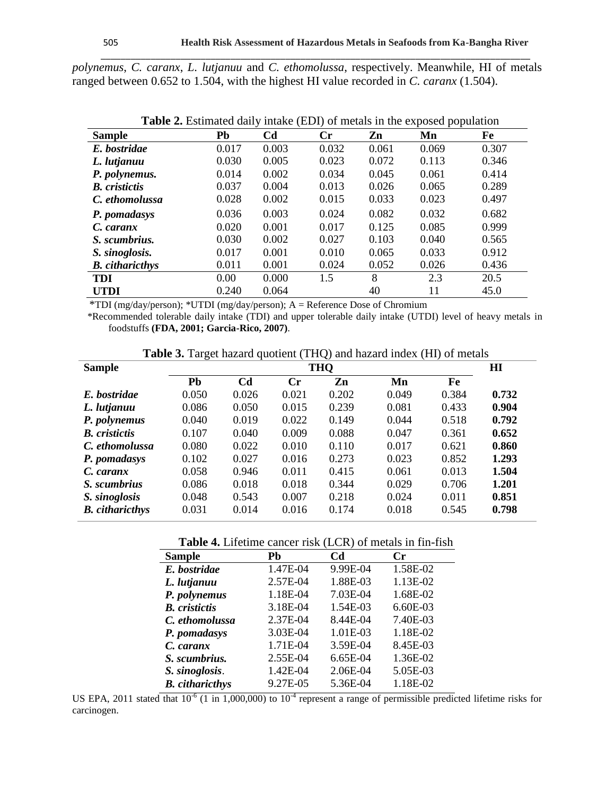*polynemus*, *C. caranx*, *L. lutjanuu* and *C. ethomolussa*, respectively. Meanwhile, HI of metals ranged between 0.652 to 1.504, with the highest HI value recorded in *C. caranx* (1.504).

\_\_\_\_\_\_\_\_\_\_\_\_\_\_\_\_\_\_\_\_\_\_\_\_\_\_\_\_\_\_\_\_\_\_\_\_\_\_\_\_\_\_\_\_\_\_\_\_\_\_\_\_\_\_\_\_\_\_\_\_\_\_\_\_\_\_\_\_\_\_\_\_\_\_\_\_\_\_\_\_\_\_\_\_\_\_

| <b>Sample</b>          | Pb    | C <sub>d</sub> | Cr    | Zn    | - 11<br>Mn | Fe    |
|------------------------|-------|----------------|-------|-------|------------|-------|
| E. bostridae           | 0.017 | 0.003          | 0.032 | 0.061 | 0.069      | 0.307 |
| L. lutjanuu            | 0.030 | 0.005          | 0.023 | 0.072 | 0.113      | 0.346 |
| P. polynemus.          | 0.014 | 0.002          | 0.034 | 0.045 | 0.061      | 0.414 |
| <b>B.</b> cristictis   | 0.037 | 0.004          | 0.013 | 0.026 | 0.065      | 0.289 |
| C. ethomolussa         | 0.028 | 0.002          | 0.015 | 0.033 | 0.023      | 0.497 |
| P. pomadasys           | 0.036 | 0.003          | 0.024 | 0.082 | 0.032      | 0.682 |
| C. caranx              | 0.020 | 0.001          | 0.017 | 0.125 | 0.085      | 0.999 |
| S. scumbrius.          | 0.030 | 0.002          | 0.027 | 0.103 | 0.040      | 0.565 |
| S. sinoglosis.         | 0.017 | 0.001          | 0.010 | 0.065 | 0.033      | 0.912 |
| <b>B.</b> citharicthys | 0.011 | 0.001          | 0.024 | 0.052 | 0.026      | 0.436 |
| <b>TDI</b>             | 0.00  | 0.000          | 1.5   | 8     | 2.3        | 20.5  |
| <b>UTDI</b>            | 0.240 | 0.064          |       | 40    | 11         | 45.0  |

**Table 2.** Estimated daily intake (EDI) of metals in the exposed population

\*TDI (mg/day/person); \*UTDI (mg/day/person); A = Reference Dose of Chromium

 \*Recommended tolerable daily intake (TDI) and upper tolerable daily intake (UTDI) level of heavy metals in foodstuffs **(FDA, 2001; Garcia-Rico, 2007)**.

**Table 3.** Target hazard quotient (THQ) and hazard index (HI) of metals

| <b>Sample</b>          | THQ   |                |                |       |       | Ш     |       |
|------------------------|-------|----------------|----------------|-------|-------|-------|-------|
|                        | Pb    | C <sub>d</sub> | $\mathbf{C}$ r | Zn    | Mn    | Fe    |       |
| E. bostridae           | 0.050 | 0.026          | 0.021          | 0.202 | 0.049 | 0.384 | 0.732 |
| L. lutjanuu            | 0.086 | 0.050          | 0.015          | 0.239 | 0.081 | 0.433 | 0.904 |
| P. polynemus           | 0.040 | 0.019          | 0.022          | 0.149 | 0.044 | 0.518 | 0.792 |
| <b>B.</b> cristictis   | 0.107 | 0.040          | 0.009          | 0.088 | 0.047 | 0.361 | 0.652 |
| C. ethomolussa         | 0.080 | 0.022          | 0.010          | 0.110 | 0.017 | 0.621 | 0.860 |
| P. pomadasys           | 0.102 | 0.027          | 0.016          | 0.273 | 0.023 | 0.852 | 1.293 |
| C. caranx              | 0.058 | 0.946          | 0.011          | 0.415 | 0.061 | 0.013 | 1.504 |
| S. scumbrius           | 0.086 | 0.018          | 0.018          | 0.344 | 0.029 | 0.706 | 1.201 |
| S. sinoglosis          | 0.048 | 0.543          | 0.007          | 0.218 | 0.024 | 0.011 | 0.851 |
| <b>B.</b> citharicthys | 0.031 | 0.014          | 0.016          | 0.174 | 0.018 | 0.545 | 0.798 |

## **Table 4.** Lifetime cancer risk (LCR) of metals in fin-fish

| <b>Sample</b>          | Pb       | C <sub>d</sub> | Cr       |
|------------------------|----------|----------------|----------|
| E. bostridae           | 1.47E-04 | 9.99E-04       | 1.58E-02 |
| L. lutjanuu            | 2.57E-04 | 1.88E-03       | 1.13E-02 |
| P. polynemus           | 1.18E-04 | 7.03E-04       | 1.68E-02 |
| <b>B.</b> cristictis   | 3.18E-04 | 1.54E-03       | 6.60E-03 |
| C. ethomolussa         | 2.37E-04 | 8.44E-04       | 7.40E-03 |
| P. pomadasys           | 3.03E-04 | 1.01E-03       | 1.18E-02 |
| C. caranx              | 1.71E-04 | 3.59E-04       | 8.45E-03 |
| S. scumbrius.          | 2.55E-04 | 6.65E-04       | 1.36E-02 |
| S. sinoglosis.         | 1.42E-04 | 2.06E-04       | 5.05E-03 |
| <b>B.</b> citharicthys | 9.27E-05 | 5.36E-04       | 1.18E-02 |

US EPA, 2011 stated that  $10^{-6}$  (1 in 1,000,000) to  $10^{-4}$  represent a range of permissible predicted lifetime risks for carcinogen.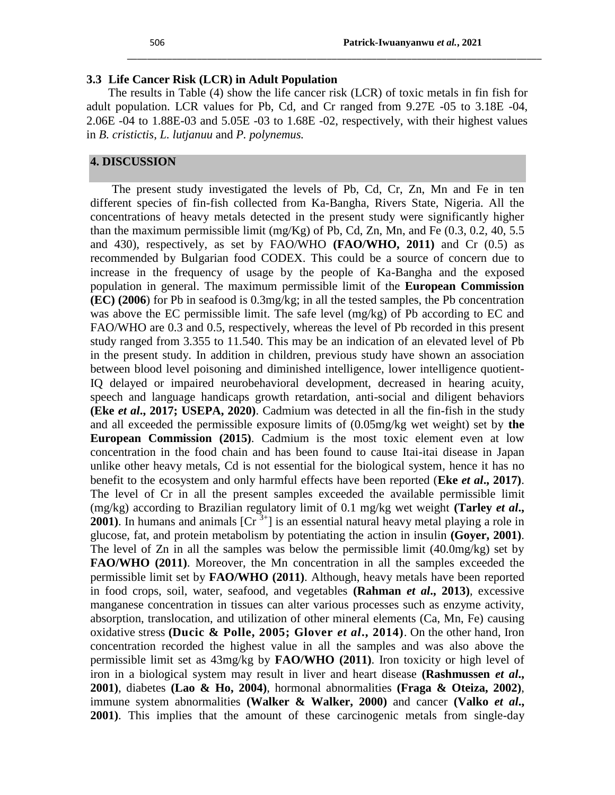#### **3.3 Life Cancer Risk (LCR) in Adult Population**

The results in Table (4) show the life cancer risk (LCR) of toxic metals in fin fish for adult population. LCR values for Pb, Cd, and Cr ranged from 9.27E -05 to 3.18E -04, 2.06E -04 to 1.88E-03 and 5.05E -03 to 1.68E -02, respectively, with their highest values in *B. cristictis*, *L. lutjanuu* and *P. polynemus.*

\_\_\_\_\_\_\_\_\_\_\_\_\_\_\_\_\_\_\_\_\_\_\_\_\_\_\_\_\_\_\_\_\_\_\_\_\_\_\_\_\_\_\_\_\_\_\_\_\_\_\_\_\_\_\_\_\_\_\_\_\_\_\_\_\_\_\_\_\_\_\_\_\_\_\_\_\_\_\_\_\_\_\_

### **4. DISCUSSION**

The present study investigated the levels of Pb, Cd, Cr, Zn, Mn and Fe in ten different species of fin-fish collected from Ka-Bangha, Rivers State, Nigeria. All the concentrations of heavy metals detected in the present study were significantly higher than the maximum permissible limit (mg/Kg) of Pb, Cd, Zn, Mn, and Fe  $(0.3, 0.2, 40, 5.5)$ and 430), respectively, as set by FAO/WHO **(FAO/WHO, 2011)** and Cr (0.5) as recommended by Bulgarian food CODEX. This could be a source of concern due to increase in the frequency of usage by the people of Ka-Bangha and the exposed population in general. The maximum permissible limit of the **European Commission (EC) (2006**) for Pb in seafood is 0.3mg/kg; in all the tested samples, the Pb concentration was above the EC permissible limit. The safe level (mg/kg) of Pb according to EC and FAO/WHO are 0.3 and 0.5, respectively, whereas the level of Pb recorded in this present study ranged from 3.355 to 11.540. This may be an indication of an elevated level of Pb in the present study. In addition in children, previous study have shown an association between blood level poisoning and diminished intelligence, lower intelligence quotient-IQ delayed or impaired neurobehavioral development, decreased in hearing acuity, speech and language handicaps growth retardation, anti-social and diligent behaviors **(Eke** *et al***., 2017; USEPA, 2020)**. Cadmium was detected in all the fin-fish in the study and all exceeded the permissible exposure limits of (0.05mg/kg wet weight) set by **the European Commission (2015)**. Cadmium is the most toxic element even at low concentration in the food chain and has been found to cause Itai-itai disease in Japan unlike other heavy metals, Cd is not essential for the biological system, hence it has no benefit to the ecosystem and only harmful effects have been reported (**Eke** *et al***., 2017)**. The level of Cr in all the present samples exceeded the available permissible limit (mg/kg) according to Brazilian regulatory limit of 0.1 mg/kg wet weight **(Tarley** *et al***., 2001**). In humans and animals  $[Cr^{3+}]$  is an essential natural heavy metal playing a role in glucose, fat, and protein metabolism by potentiating the action in insulin **(Goyer, 2001)**. The level of  $Zn$  in all the samples was below the permissible limit  $(40.0\text{mg/kg})$  set by **FAO/WHO (2011)**. Moreover, the Mn concentration in all the samples exceeded the permissible limit set by **FAO/WHO (2011)**. Although, heavy metals have been reported in food crops, soil, water, seafood, and vegetables **(Rahman** *et al***., 2013)**, excessive manganese concentration in tissues can alter various processes such as enzyme activity, absorption, translocation, and utilization of other mineral elements (Ca, Mn, Fe) causing oxidative stress **(Ducic & Polle, 2005; Glover** *et al***., 2014)**. On the other hand, Iron concentration recorded the highest value in all the samples and was also above the permissible limit set as 43mg/kg by **FAO/WHO (2011)**. Iron toxicity or high level of iron in a biological system may result in liver and heart disease **(Rashmussen** *et al***., 2001)**, diabetes **(Lao & Ho, 2004)**, hormonal abnormalities **(Fraga & Oteiza, 2002)**, immune system abnormalities **(Walker & Walker, 2000)** and cancer **(Valko** *et al***., 2001)**. This implies that the amount of these carcinogenic metals from single-day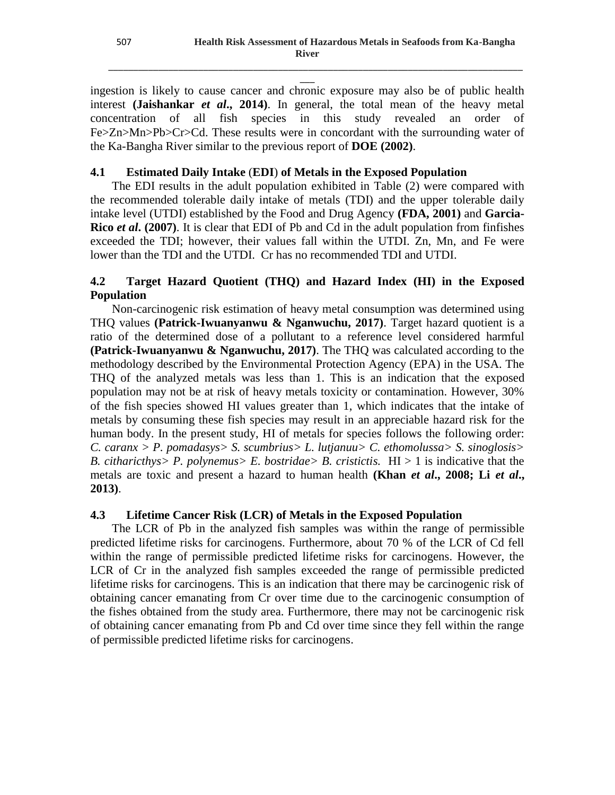$\overline{\phantom{a}}$ ingestion is likely to cause cancer and chronic exposure may also be of public health interest **(Jaishankar** *et al***., 2014)**. In general, the total mean of the heavy metal concentration of all fish species in this study revealed an order of Fe>Zn>Mn>Pb>Cr>Cd. These results were in concordant with the surrounding water of the Ka-Bangha River similar to the previous report of **DOE (2002)**.

\_\_\_\_\_\_\_\_\_\_\_\_\_\_\_\_\_\_\_\_\_\_\_\_\_\_\_\_\_\_\_\_\_\_\_\_\_\_\_\_\_\_\_\_\_\_\_\_\_\_\_\_\_\_\_\_\_\_\_\_\_\_\_\_\_\_\_\_\_\_\_\_\_\_\_\_\_\_\_\_\_\_\_

## **4.1 Estimated Daily Intake** (**EDI**) **of Metals in the Exposed Population**

The EDI results in the adult population exhibited in Table (2) were compared with the recommended tolerable daily intake of metals (TDI) and the upper tolerable daily intake level (UTDI) established by the Food and Drug Agency **(FDA, 2001)** and **Garcia-Rico** *et al***. (2007)**. It is clear that EDI of Pb and Cd in the adult population from finfishes exceeded the TDI; however, their values fall within the UTDI. Zn, Mn, and Fe were lower than the TDI and the UTDI. Cr has no recommended TDI and UTDI.

## **4.2 Target Hazard Quotient (THQ) and Hazard Index (HI) in the Exposed Population**

Non-carcinogenic risk estimation of heavy metal consumption was determined using THQ values **(Patrick-Iwuanyanwu & Nganwuchu, 2017)**. Target hazard quotient is a ratio of the determined dose of a pollutant to a reference level considered harmful **(Patrick-Iwuanyanwu & Nganwuchu, 2017)**. The THQ was calculated according to the methodology described by the Environmental Protection Agency (EPA) in the USA. The THQ of the analyzed metals was less than 1. This is an indication that the exposed population may not be at risk of heavy metals toxicity or contamination. However, 30% of the fish species showed HI values greater than 1, which indicates that the intake of metals by consuming these fish species may result in an appreciable hazard risk for the human body. In the present study, HI of metals for species follows the following order: *C. caranx > P. pomadasys> S. scumbrius> L. lutjanuu> C. ethomolussa> S. sinoglosis> B. citharicthys> P. polynemus> E. bostridae> B. cristictis.*  $HI > 1$  is indicative that the metals are toxic and present a hazard to human health **(Khan** *et al***., 2008; Li** *et al***., 2013)**.

## **4.3 Lifetime Cancer Risk (LCR) of Metals in the Exposed Population**

The LCR of Pb in the analyzed fish samples was within the range of permissible predicted lifetime risks for carcinogens. Furthermore, about 70 % of the LCR of Cd fell within the range of permissible predicted lifetime risks for carcinogens. However, the LCR of Cr in the analyzed fish samples exceeded the range of permissible predicted lifetime risks for carcinogens. This is an indication that there may be carcinogenic risk of obtaining cancer emanating from Cr over time due to the carcinogenic consumption of the fishes obtained from the study area. Furthermore, there may not be carcinogenic risk of obtaining cancer emanating from Pb and Cd over time since they fell within the range of permissible predicted lifetime risks for carcinogens.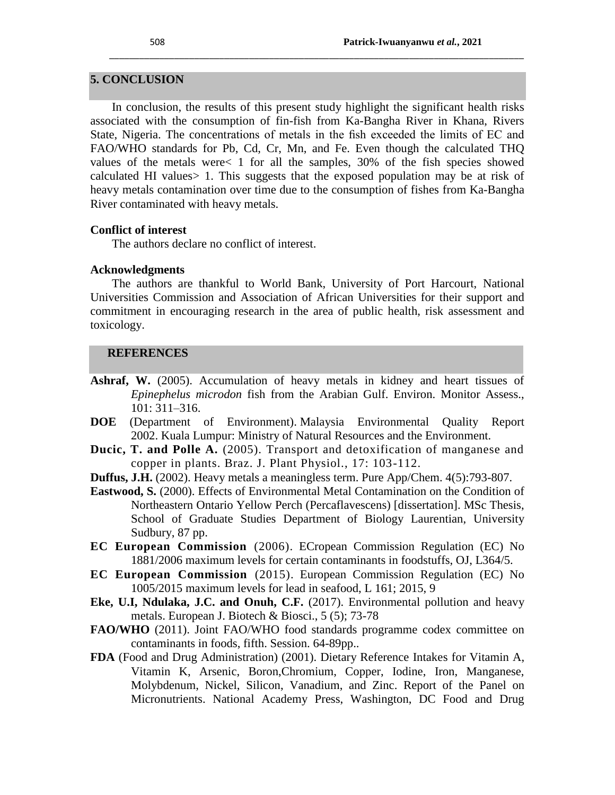## **5. CONCLUSION**

In conclusion, the results of this present study highlight the significant health risks associated with the consumption of fin-fish from Ka-Bangha River in Khana, Rivers State, Nigeria. The concentrations of metals in the fish exceeded the limits of EC and FAO/WHO standards for Pb, Cd, Cr, Mn, and Fe. Even though the calculated THQ values of the metals were< 1 for all the samples, 30% of the fish species showed calculated HI values> 1. This suggests that the exposed population may be at risk of heavy metals contamination over time due to the consumption of fishes from Ka-Bangha River contaminated with heavy metals.

\_\_\_\_\_\_\_\_\_\_\_\_\_\_\_\_\_\_\_\_\_\_\_\_\_\_\_\_\_\_\_\_\_\_\_\_\_\_\_\_\_\_\_\_\_\_\_\_\_\_\_\_\_\_\_\_\_\_\_\_\_\_\_\_\_\_\_\_\_\_\_\_\_\_\_\_\_\_\_\_\_\_\_

#### **Conflict of interest**

The authors declare no conflict of interest.

#### **Acknowledgments**

The authors are thankful to World Bank, University of Port Harcourt, National Universities Commission and Association of African Universities for their support and commitment in encouraging research in the area of public health, risk assessment and toxicology.

#### **REFERENCES**

- **Ashraf, W.** (2005). Accumulation of heavy metals in kidney and heart tissues of *Epinephelus microdon* fish from the Arabian Gulf. Environ. Monitor Assess., 101: 311–316.
- **DOE** (Department of Environment). Malaysia Environmental Quality Report 2002. Kuala Lumpur: Ministry of Natural Resources and the Environment.
- **Ducic, T. and Polle A.** (2005). Transport and detoxification of manganese and copper in plants. Braz. J. Plant Physiol., 17: 103-112.
- **Duffus, J.H.** (2002). Heavy metals a meaningless term. Pure App/Chem. 4(5):793-807.
- **Eastwood, S.** (2000). Effects of Environmental Metal Contamination on the Condition of Northeastern Ontario Yellow Perch (Percaflavescens) [dissertation]. MSc Thesis, School of Graduate Studies Department of Biology Laurentian, University Sudbury, 87 pp.
- **EC European Commission** (2006). ECropean Commission Regulation (EC) No 1881/2006 maximum levels for certain contaminants in foodstuffs, OJ, L364/5.
- **EC European Commission** (2015). European Commission Regulation (EC) No 1005/2015 maximum levels for lead in seafood, L 161; 2015, 9
- **Eke, U.I, Ndulaka, J.C. and Onuh, C.F.** (2017). Environmental pollution and heavy metals. European J. Biotech & Biosci., 5 (5); 73-78
- FAO/WHO (2011). Joint FAO/WHO food standards programme codex committee on contaminants in foods, fifth. Session. 64-89pp..
- **FDA** (Food and Drug Administration) (2001). Dietary Reference Intakes for Vitamin A, Vitamin K, Arsenic, Boron,Chromium, Copper, Iodine, Iron, Manganese, Molybdenum, Nickel, Silicon, Vanadium, and Zinc. Report of the Panel on Micronutrients. National Academy Press, Washington, DC Food and Drug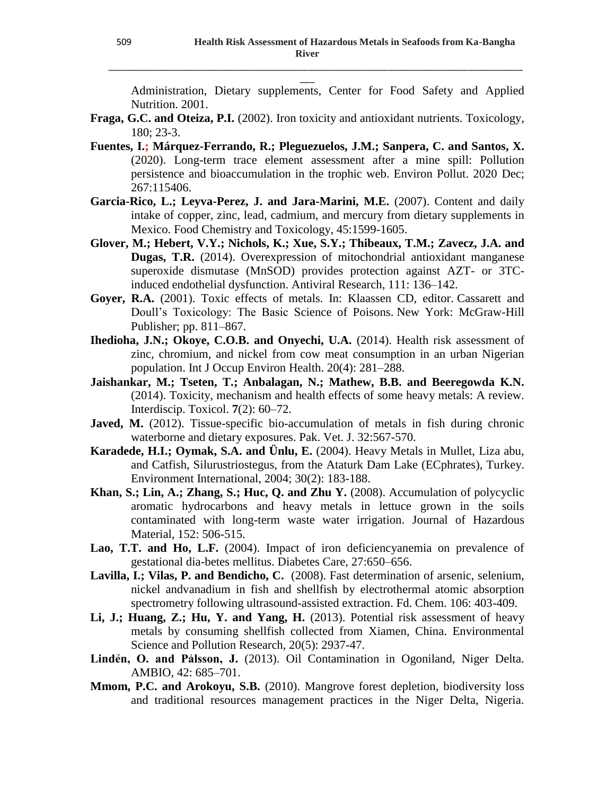Administration, Dietary supplements, Center for Food Safety and Applied Nutrition. 2001.

\_\_\_\_\_\_\_\_\_\_\_\_\_\_\_\_\_\_\_\_\_\_\_\_\_\_\_\_\_\_\_\_\_\_\_\_\_\_\_\_\_\_\_\_\_\_\_\_\_\_\_\_\_\_\_\_\_\_\_\_\_\_\_\_\_\_\_\_\_\_\_\_\_\_\_\_\_\_\_\_\_\_\_  $\overline{\phantom{a}}$ 

- **Fraga, G.C. and Oteiza, P.I.** (2002). Iron toxicity and antioxidant nutrients. Toxicology, 180; 23-3.
- **Fuentes, I.; Márquez-Ferrando, R.; Pleguezuelos, J.M.; Sanpera, C. and Santos, X.** (2020). Long-term trace element assessment after a mine spill: Pollution persistence and bioaccumulation in the trophic web. Environ Pollut. 2020 Dec; 267:115406.
- **Garcia-Rico, L.; Leyva-Perez, J. and Jara-Marini, M.E.** (2007). Content and daily intake of copper, zinc, lead, cadmium, and mercury from dietary supplements in Mexico. Food Chemistry and Toxicology, 45:1599-1605.
- **Glover, M.; Hebert, V.Y.; Nichols, K.; Xue, S.Y.; Thibeaux, T.M.; Zavecz, J.A. and Dugas, T.R.** (2014). Overexpression of mitochondrial antioxidant manganese superoxide dismutase (MnSOD) provides protection against AZT- or 3TCinduced endothelial dysfunction. Antiviral Research, 111: 136–142.
- **Goyer, R.A.** (2001). Toxic effects of metals. In: Klaassen CD, editor. Cassarett and Doull's Toxicology: The Basic Science of Poisons. New York: McGraw-Hill Publisher; pp. 811–867.
- **Ihedioha, J.N.; Okoye, C.O.B. and Onyechi, U.A.** (2014). Health risk assessment of zinc, chromium, and nickel from cow meat consumption in an urban Nigerian population. Int J Occup Environ Health. 20(4): 281–288.
- **Jaishankar, M.; Tseten, T.; Anbalagan, N.; Mathew, B.B. and Beeregowda K.N.** (2014). Toxicity, mechanism and health effects of some heavy metals: A review. Interdiscip. Toxicol. **7**(2): 60–72.
- **Javed, M.** (2012). Tissue-specific bio-accumulation of metals in fish during chronic waterborne and dietary exposures. Pak. Vet. J. 32:567-570.
- **Karadede, H.I.; Oymak, S.A. and Ünlu, E.** (2004). Heavy Metals in Mullet, Liza abu, and Catfish, Silurustriostegus, from the Ataturk Dam Lake (ECphrates), Turkey. Environment International, 2004; 30(2): 183-188.
- **Khan, S.; Lin, A.; Zhang, S.; Huc, Q. and Zhu Y.** (2008). Accumulation of polycyclic aromatic hydrocarbons and heavy metals in lettuce grown in the soils contaminated with long-term waste water irrigation. Journal of Hazardous Material, 152: 506-515.
- Lao, T.T. and Ho, L.F. (2004). Impact of iron deficiencyanemia on prevalence of gestational dia-betes mellitus. Diabetes Care, 27:650–656.
- **Lavilla, I.; Vilas, P. and Bendicho, C.** (2008). Fast determination of arsenic, selenium, nickel andvanadium in fish and shellfish by electrothermal atomic absorption spectrometry following ultrasound-assisted extraction. Fd. Chem. 106: 403-409.
- **Li, J.; Huang, Z.; Hu, Y. and Yang, H.** (2013). Potential risk assessment of heavy metals by consuming shellfish collected from Xiamen, China. Environmental Science and Pollution Research, 20(5): 2937-47.
- Linden, O. and Palsson, J. (2013). Oil Contamination in Ogoniland, Niger Delta. AMBIO, 42: 685–701.
- **Mmom, P.C. and Arokoyu, S.B.** (2010). Mangrove forest depletion, biodiversity loss and traditional resources management practices in the Niger Delta, Nigeria.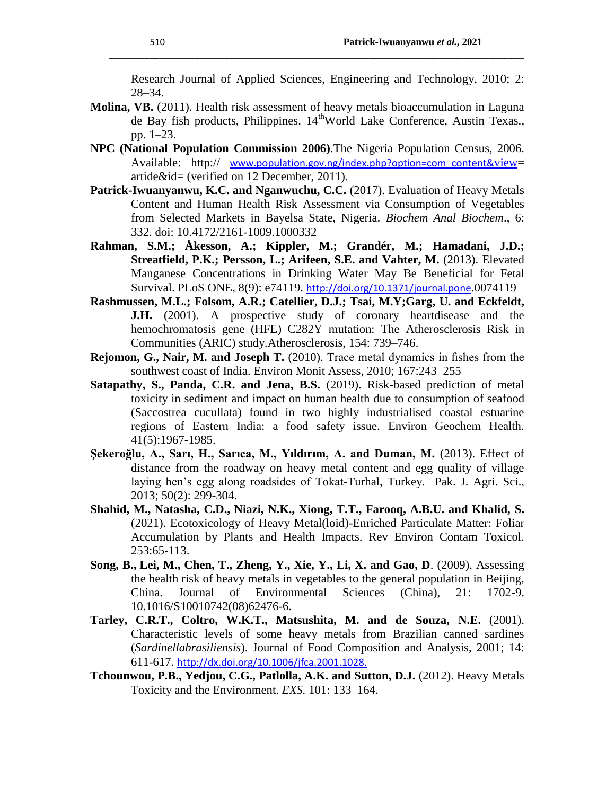Research Journal of Applied Sciences, Engineering and Technology, 2010; 2: 28–34.

\_\_\_\_\_\_\_\_\_\_\_\_\_\_\_\_\_\_\_\_\_\_\_\_\_\_\_\_\_\_\_\_\_\_\_\_\_\_\_\_\_\_\_\_\_\_\_\_\_\_\_\_\_\_\_\_\_\_\_\_\_\_\_\_\_\_\_\_\_\_\_\_\_\_\_\_\_\_\_\_\_\_\_

- **Molina, VB.** (2011). Health risk assessment of heavy metals bioaccumulation in Laguna de Bay fish products, Philippines. 14<sup>th</sup>World Lake Conference, Austin Texas., pp. 1–23.
- **NPC (National Population Commission 2006)**.The Nigeria Population Census, 2006. Available: http:// [www.population.gov.ng/index.php?option=com\\_content&](http://www.population.gov.ng/index.php?option=com_content&view)view= artide&id= (verified on 12 December, 2011).
- **Patrick-Iwuanyanwu, K.C. and Nganwuchu, C.C.** (2017). Evaluation of Heavy Metals Content and Human Health Risk Assessment via Consumption of Vegetables from Selected Markets in Bayelsa State, Nigeria. *Biochem Anal Biochem*., 6: 332. doi: 10.4172/2161-1009.1000332
- **Rahman, S.M.; Åkesson, A.; Kippler, M.; Grandér, M.; Hamadani, J.D.; Streatfield, P.K.; Persson, L.; Arifeen, S.E. and Vahter, M.** (2013). Elevated Manganese Concentrations in Drinking Water May Be Beneficial for Fetal Survival. PLoS ONE, 8(9): e74119. http://doi.org/10.1371/journal.pone.0074119
- **Rashmussen, M.L.; Folsom, A.R.; Catellier, D.J.; Tsai, M.Y;Garg, U. and Eckfeldt, J.H.** (2001). A prospective study of coronary heartdisease and the hemochromatosis gene (HFE) C282Y mutation: The Atherosclerosis Risk in Communities (ARIC) study.Atherosclerosis, 154: 739–746.
- **Rejomon, G., Nair, M. and Joseph T.** (2010). Trace metal dynamics in fishes from the southwest coast of India. Environ Monit Assess, 2010; 167:243–255
- **Satapathy, S., Panda, C.R. and Jena, B.S.** (2019). Risk-based prediction of metal toxicity in sediment and impact on human health due to consumption of seafood (Saccostrea cucullata) found in two highly industrialised coastal estuarine regions of Eastern India: a food safety issue. Environ Geochem Health. 41(5):1967-1985.
- **Şekeroğlu, A., Sarı, H., Sarıca, M., Yıldırım, A. and Duman, M.** (2013). Effect of distance from the roadway on heavy metal content and egg quality of village laying hen's egg along roadsides of Tokat-Turhal, Turkey. Pak. J. Agri. Sci., 2013; 50(2): 299-304.
- **Shahid, M., Natasha, C.D., Niazi, N.K., Xiong, T.T., Farooq, A.B.U. and Khalid, S.** (2021). Ecotoxicology of Heavy Metal(loid)-Enriched Particulate Matter: Foliar Accumulation by Plants and Health Impacts. Rev Environ Contam Toxicol. 253:65-113.
- **Song, B., Lei, M., Chen, T., Zheng, Y., Xie, Y., Li, X. and Gao, D**. (2009). Assessing the health risk of heavy metals in vegetables to the general population in Beijing, China. Journal of Environmental Sciences (China), 21: 1702-9. 10.1016/S10010742(08)62476-6.
- **Tarley, C.R.T., Coltro, W.K.T., Matsushita, M. and de Souza, N.E.** (2001). Characteristic levels of some heavy metals from Brazilian canned sardines (*Sardinellabrasiliensis*). Journal of Food Composition and Analysis, 2001; 14: 611-617. [http://dx.doi.org/10.1006/jfca.2001.1028.](http://dx.doi.org/10.1006/jfca.2001.1028)
- **Tchounwou, P.B., Yedjou, C.G., Patlolla, A.K. and Sutton, D.J.** (2012). Heavy Metals Toxicity and the Environment. *EXS.* 101: 133–164.